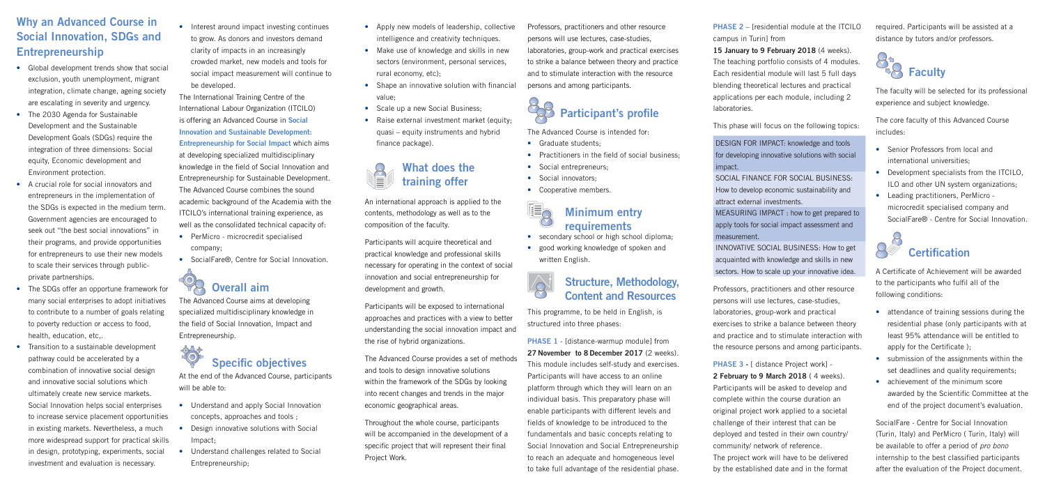# **Why an Advanced Course in Social Innovation, SDGs and Entrepreneurship**

- Global development trends show that social exclusion, youth unemployment, migrant integration, climate change, ageing society are escalating in severity and urgency.
- The 2030 Agenda for Sustainable Development and the Sustainable Development Goals (SDGs) require the integration of three dimensions: Social equity, Economic development and Environment protection.
- A crucial role for social innovators and entrepreneurs in the implementation of the SDGs is expected in the medium term. Government agencies are encouraged to seek out "the best social innovations" in their programs, and provide opportunities for entrepreneurs to use their new models to scale their services through publicprivate partnerships.
- The SDGs offer an opportune framework for many social enterprises to adopt initiatives to contribute to a number of goals relating to poverty reduction or access to food, health, education, etc,.
- Transition to a sustainable development pathway could be accelerated by a combination of innovative social design and innovative social solutions which ultimately create new service markets. Social Innovation helps social enterprises to increase service placement opportunities in existing markets. Nevertheless, a much more widespread support for practical skills in design, prototyping, experiments, social investment and evaluation is necessary.

• Interest around impact investing continues to grow. As donors and investors demand clarity of impacts in an increasingly crowded market, new models and tools for social impact measurement will continue to be developed.

• PerMicro - microcredit specialised company;

At the end of the Advanced Course, participants will be able to:

The International Training Centre of the International Labour Organization (ITCILO) is offering an Advanced Course in **Social Innovation and Sustainable Development: Entrepreneurship for Social Impact** which aims at developing specialized multidisciplinary knowledge in the field of Social Innovation and Entrepreneurship for Sustainable Development. The Advanced Course combines the sound academic background of the Academia with the ITCILO's international training experience, as well as the consolidated technical capacity of:

• SocialFare®, Centre for Social Innovation.

- secondary school or high school diploma;
- good working knowledge of spoken and written English.

# **Overall aim**

The Advanced Course aims at developing specialized multidisciplinary knowledge in the field of Social Innovation, Impact and Entrepreneurship.

# 30 **Specific objectives**

**PHASE 1** - [distance-warmup module] from **27 November to 8 December 2017** (2 weeks). This module includes self-study and exercises. Participants will have access to an online platform through which they will learn on an individual basis. This preparatory phase will enable participants with different levels and fields of knowledge to be introduced to the fundamentals and basic concepts relating to Social Innovation and Social Entrepreneurship to reach an adequate and homogeneous level to take full advantage of the residential phase.

- Understand and apply Social Innovation concepts, approaches and tools ;
- Design innovative solutions with Social Impact;
- Understand challenges related to Social Entrepreneurship;
- Apply new models of leadership, collective intelligence and creativity techniques.
- Make use of knowledge and skills in new sectors (environment, personal services, rural economy, etc);
- $\bullet$  Shape an innovative solution with financial value;
- Scale up a new Social Business:
- Raise external investment market (equity: quasi – equity instruments and hybrid finance package).

**PHASE 2** – [residential module at the ITCILO campus in Turin] from

INNOVATIVE SOCIAL BUSINESS: How to get acquainted with knowledge and skills in new sectors. How to scale up your innovative idea.



An international approach is applied to the contents, methodology as well as to the composition of the faculty.

Participants will acquire theoretical and practical knowledge and professional skills necessary for operating in the context of social innovation and social entrepreneurship for development and growth.

Participants will be exposed to international approaches and practices with a view to better understanding the social innovation impact and the rise of hybrid organizations.

- Senior Professors from local and international universities;
- Development specialists from the ITCILO. ILO and other UN system organizations;
- Leading practitioners, PerMicro microcredit specialised company and SocialFare® - Centre for Social Innovation.

A Certificate of Achievement will be awarded to the participants who fulfil all of the following conditions:

The Advanced Course provides a set of methods and tools to design innovative solutions within the framework of the SDGs by looking into recent changes and trends in the major economic geographical areas.

- attendance of training sessions during the residential phase (only participants with at least 95% attendance will be entitled to apply for the Certificate);
- submission of the assignments within the set deadlines and quality requirements;
- achievement of the minimum score awarded by the Scientific Committee at the end of the project document's evaluation.

Throughout the whole course, participants will be accompanied in the development of a specific project that will represent their final Project Work.

Professors, practitioners and other resource persons will use lectures, case-studies, laboratories, group-work and practical exercises to strike a balance between theory and practice and to stimulate interaction with the resource persons and among participants.



The Advanced Course is intended for:

- Graduate students·
- $\bullet$  Practitioners in the field of social business.
- Social entrepreneurs;
- Social innovators:

 $\mathbb{I}_\mathsf{Q}$ 

• Cooperative members.

# **Minimum entry requirements**



This programme, to be held in English, is structured into three phases:

**15 January to 9 February 2018** (4 weeks). The teaching portfolio consists of 4 modules. Each residential module will last 5 full days blending theoretical lectures and practical applications per each module, including 2

laboratories.

This phase will focus on the following topics:

DESIGN FOR IMPACT: knowledge and tools for developing innovative solutions with social

SOCIAL FINANCE FOR SOCIAL BUSINESS: How to develop economic sustainability and attract external investments.

# impact. measurement.

MEASURING IMPACT : how to get prepared to apply tools for social impact assessment and

Professors, practitioners and other resource persons will use lectures, case-studies, laboratories, group-work and practical exercises to strike a balance between theory and practice and to stimulate interaction with the resource persons and among participants.

**PHASE 3 -** [ distance Project work] - **2 February to 9 March 2018** ( 4 weeks). Participants will be asked to develop and complete within the course duration an original project work applied to a societal challenge of their interest that can be deployed and tested in their own country/ community/ network of reference. The project work will have to be delivered by the established date and in the format

required. Participants will be assisted at a distance by tutors and/or professors.



The faculty will be selected for its professional experience and subject knowledge.

The core faculty of this Advanced Course includes:



SocialFare - Centre for Social Innovation (Turin, Italy) and PerMicro ( Turin, Italy) will be available to offer a period of *pro bono*  internship to the best classified participants after the evaluation of the Project document.